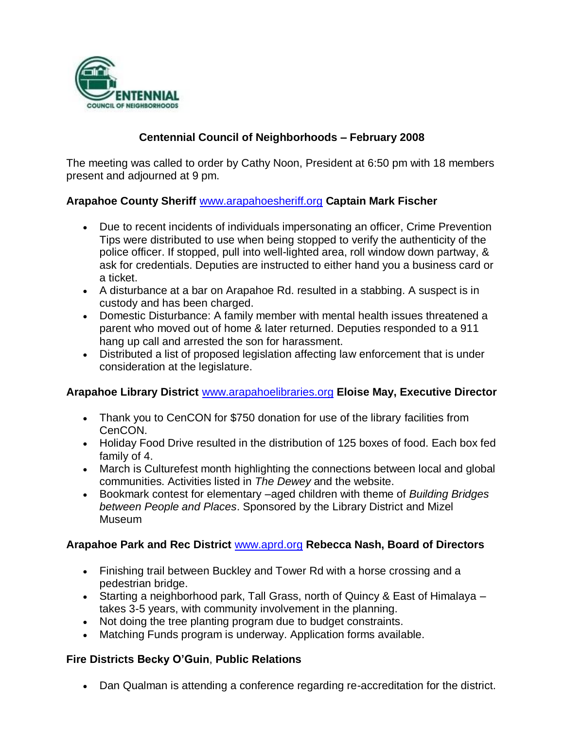

# **Centennial Council of Neighborhoods – February 2008**

The meeting was called to order by Cathy Noon, President at 6:50 pm with 18 members present and adjourned at 9 pm.

### **Arapahoe County Sheriff** [www.arapahoesheriff.org](http://www.arapahoesheriff.org/) **Captain Mark Fischer**

- Due to recent incidents of individuals impersonating an officer, Crime Prevention Tips were distributed to use when being stopped to verify the authenticity of the police officer. If stopped, pull into well-lighted area, roll window down partway, & ask for credentials. Deputies are instructed to either hand you a business card or a ticket.
- A disturbance at a bar on Arapahoe Rd. resulted in a stabbing. A suspect is in custody and has been charged.
- Domestic Disturbance: A family member with mental health issues threatened a parent who moved out of home & later returned. Deputies responded to a 911 hang up call and arrested the son for harassment.
- Distributed a list of proposed legislation affecting law enforcement that is under consideration at the legislature.

#### **Arapahoe Library District** [www.arapahoelibraries.org](http://www.arapahoelibraries.org/) **Eloise May, Executive Director**

- Thank you to CenCON for \$750 donation for use of the library facilities from CenCON.
- Holiday Food Drive resulted in the distribution of 125 boxes of food. Each box fed family of 4.
- March is Culturefest month highlighting the connections between local and global communities. Activities listed in *The Dewey* and the website.
- Bookmark contest for elementary –aged children with theme of *Building Bridges between People and Places*. Sponsored by the Library District and Mizel Museum

#### **Arapahoe Park and Rec District** [www.aprd.org](http://www.aprd.org/) **Rebecca Nash, Board of Directors**

- Finishing trail between Buckley and Tower Rd with a horse crossing and a pedestrian bridge.
- Starting a neighborhood park, Tall Grass, north of Quincy & East of Himalaya takes 3-5 years, with community involvement in the planning.
- Not doing the tree planting program due to budget constraints.
- Matching Funds program is underway. Application forms available.

### **Fire Districts Becky O'Guin**, **Public Relations**

Dan Qualman is attending a conference regarding re-accreditation for the district.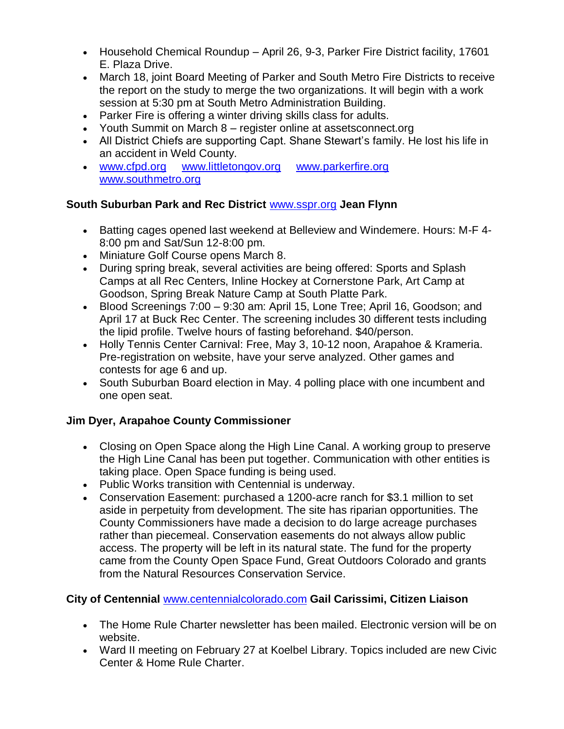- Household Chemical Roundup April 26, 9-3, Parker Fire District facility, 17601 E. Plaza Drive.
- March 18, joint Board Meeting of Parker and South Metro Fire Districts to receive the report on the study to merge the two organizations. It will begin with a work session at 5:30 pm at South Metro Administration Building.
- Parker Fire is offering a winter driving skills class for adults.
- Youth Summit on March 8 register online at assetsconnect.org
- All District Chiefs are supporting Capt. Shane Stewart's family. He lost his life in an accident in Weld County.
- [www.cfpd.org](http://www.cfpd.org/) [www.littletongov.org](http://www.littletongov.org/) [www.parkerfire.org](http://www.parkerfire.org/)  [www.southmetro.org](http://www.southmetro.org/)

## **South Suburban Park and Rec District** [www.sspr.org](http://www.sspr.org/) **Jean Flynn**

- Batting cages opened last weekend at Belleview and Windemere. Hours: M-F 4- 8:00 pm and Sat/Sun 12-8:00 pm.
- Miniature Golf Course opens March 8.
- During spring break, several activities are being offered: Sports and Splash Camps at all Rec Centers, Inline Hockey at Cornerstone Park, Art Camp at Goodson, Spring Break Nature Camp at South Platte Park.
- Blood Screenings 7:00 9:30 am: April 15, Lone Tree; April 16, Goodson; and April 17 at Buck Rec Center. The screening includes 30 different tests including the lipid profile. Twelve hours of fasting beforehand. \$40/person.
- Holly Tennis Center Carnival: Free, May 3, 10-12 noon, Arapahoe & Krameria. Pre-registration on website, have your serve analyzed. Other games and contests for age 6 and up.
- South Suburban Board election in May. 4 polling place with one incumbent and one open seat.

# **Jim Dyer, Arapahoe County Commissioner**

- Closing on Open Space along the High Line Canal. A working group to preserve the High Line Canal has been put together. Communication with other entities is taking place. Open Space funding is being used.
- Public Works transition with Centennial is underway.
- Conservation Easement: purchased a 1200-acre ranch for \$3.1 million to set aside in perpetuity from development. The site has riparian opportunities. The County Commissioners have made a decision to do large acreage purchases rather than piecemeal. Conservation easements do not always allow public access. The property will be left in its natural state. The fund for the property came from the County Open Space Fund, Great Outdoors Colorado and grants from the Natural Resources Conservation Service.

# **City of Centennial** [www.centennialcolorado.com](http://www.centennialcolorado.com/) **Gail Carissimi, Citizen Liaison**

- The Home Rule Charter newsletter has been mailed. Electronic version will be on website.
- Ward II meeting on February 27 at Koelbel Library. Topics included are new Civic Center & Home Rule Charter.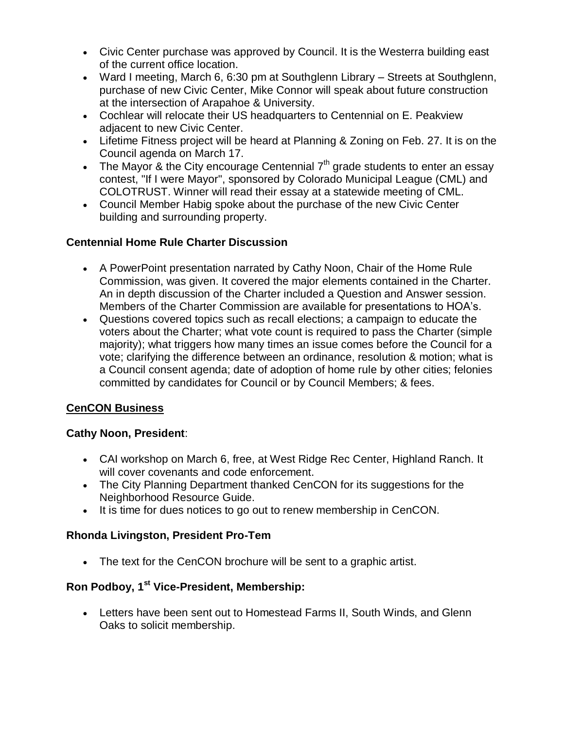- Civic Center purchase was approved by Council. It is the Westerra building east of the current office location.
- Ward I meeting, March 6, 6:30 pm at Southglenn Library Streets at Southglenn, purchase of new Civic Center, Mike Connor will speak about future construction at the intersection of Arapahoe & University.
- Cochlear will relocate their US headquarters to Centennial on E. Peakview adjacent to new Civic Center.
- Lifetime Fitness project will be heard at Planning & Zoning on Feb. 27. It is on the Council agenda on March 17.
- The Mayor & the City encourage Centennial  $7<sup>th</sup>$  grade students to enter an essay contest, "If I were Mayor", sponsored by Colorado Municipal League (CML) and COLOTRUST. Winner will read their essay at a statewide meeting of CML.
- Council Member Habig spoke about the purchase of the new Civic Center building and surrounding property.

### **Centennial Home Rule Charter Discussion**

- A PowerPoint presentation narrated by Cathy Noon, Chair of the Home Rule Commission, was given. It covered the major elements contained in the Charter. An in depth discussion of the Charter included a Question and Answer session. Members of the Charter Commission are available for presentations to HOA's.
- Questions covered topics such as recall elections; a campaign to educate the voters about the Charter; what vote count is required to pass the Charter (simple majority); what triggers how many times an issue comes before the Council for a vote; clarifying the difference between an ordinance, resolution & motion; what is a Council consent agenda; date of adoption of home rule by other cities; felonies committed by candidates for Council or by Council Members; & fees.

### **CenCON Business**

### **Cathy Noon, President**:

- CAI workshop on March 6, free, at West Ridge Rec Center, Highland Ranch. It will cover covenants and code enforcement.
- The City Planning Department thanked CenCON for its suggestions for the Neighborhood Resource Guide.
- It is time for dues notices to go out to renew membership in CenCON.

# **Rhonda Livingston, President Pro-Tem**

The text for the CenCON brochure will be sent to a graphic artist.

# **Ron Podboy, 1st Vice-President, Membership:**

 Letters have been sent out to Homestead Farms II, South Winds, and Glenn Oaks to solicit membership.